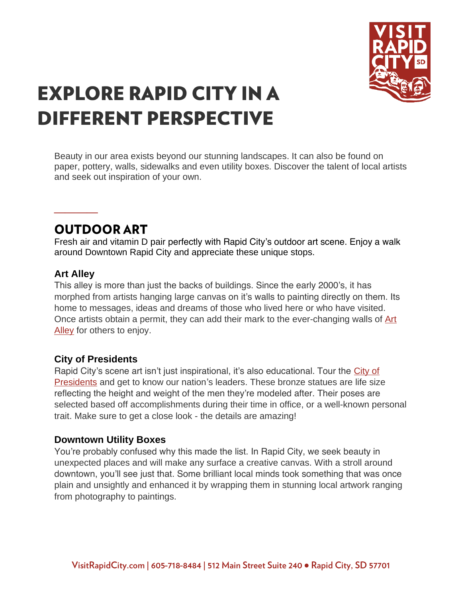

# **EXPLORE RAPID CITY IN A DIFFERENT PERSPECTIVE**

Beauty in our area exists beyond our stunning landscapes. It can also be found on paper, pottery, walls, sidewalks and even utility boxes. Discover the talent of local artists and seek out inspiration of your own.

### **OUTDOOR ART**

Fresh air and vitamin D pair perfectly with Rapid City's outdoor art scene. Enjoy a walk around Downtown Rapid City and appreciate these unique stops.

### **Art Alley**

**\_\_\_\_**

This alley is more than just the backs of buildings. Since the early 2000's, it has morphed from artists hanging large canvas on it's walls to painting directly on them. Its home to messages, ideas and dreams of those who lived here or who have visited. Once artists obtain a permit, they can add their mark to the ever-changing walls of Art [Alley](https://www.visitrapidcity.com/things-to-do/arts-culture/art-alley) for others to enjoy.

### **City of Presidents**

Rapid City's scene art isn't just inspirational, it's also educational. Tour the [City of](https://www.visitrapidcity.com/things-to-do/all-things/attractions/city-presidents)  [Presidents](https://www.visitrapidcity.com/things-to-do/all-things/attractions/city-presidents) and get to know our nation's leaders. These bronze statues are life size reflecting the height and weight of the men they're modeled after. Their poses are selected based off accomplishments during their time in office, or a well-known personal trait. Make sure to get a close look - the details are amazing!

### **Downtown Utility Boxes**

You're probably confused why this made the list. In Rapid City, we seek beauty in unexpected places and will make any surface a creative canvas. With a stroll around downtown, you'll see just that. Some brilliant local minds took something that was once plain and unsightly and enhanced it by wrapping them in stunning local artwork ranging from photography to paintings.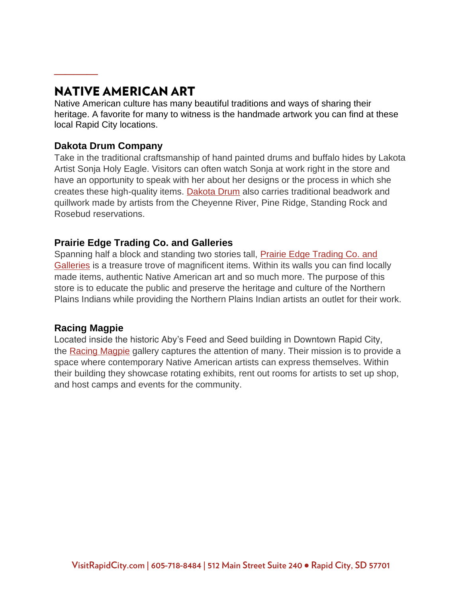## **NATIVE AMERICAN ART**

Native American culture has many beautiful traditions and ways of sharing their heritage. A favorite for many to witness is the handmade artwork you can find at these local Rapid City locations.

### **Dakota Drum Company**

**\_\_\_\_**

Take in the traditional craftsmanship of hand painted drums and buffalo hides by Lakota Artist Sonja Holy Eagle. Visitors can often watch Sonja at work right in the store and have an opportunity to speak with her about her designs or the process in which she creates these high-quality items. [Dakota Drum](https://www.visitrapidcity.com/things-to-do/arts-culture/dakota-drum-company) also carries traditional beadwork and quillwork made by artists from the Cheyenne River, Pine Ridge, Standing Rock and Rosebud reservations.

### **Prairie Edge Trading Co. and Galleries**

Spanning half a block and standing two stories tall, [Prairie Edge Trading Co. and](https://www.visitrapidcity.com/things-to-do/arts-culture/prairie-edge-trading-company-and-galleries)  [Galleries](https://www.visitrapidcity.com/things-to-do/arts-culture/prairie-edge-trading-company-and-galleries) is a treasure trove of magnificent items. Within its walls you can find locally made items, authentic Native American art and so much more. The purpose of this store is to educate the public and preserve the heritage and culture of the Northern Plains Indians while providing the Northern Plains Indian artists an outlet for their work.

### **Racing Magpie**

Located inside the historic Aby's Feed and Seed building in Downtown Rapid City, the [Racing Magpie](https://www.visitrapidcity.com/things-to-do/arts-culture/racing-magpie) gallery captures the attention of many. Their mission is to provide a space where contemporary Native American artists can express themselves. Within their building they showcase rotating exhibits, rent out rooms for artists to set up shop, and host camps and events for the community.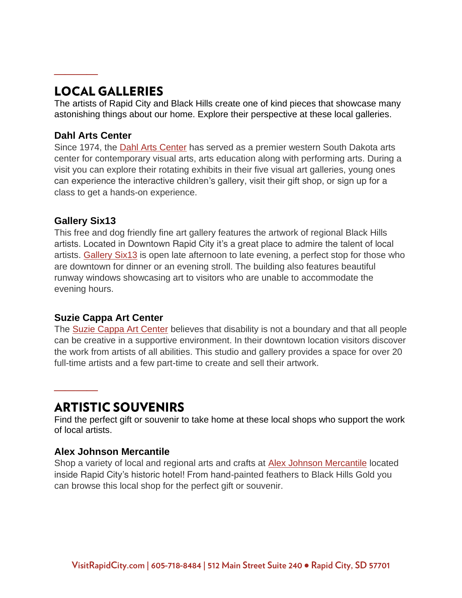# **LOCAL GALLERIES**

The artists of Rapid City and Black Hills create one of kind pieces that showcase many astonishing things about our home. Explore their perspective at these local galleries.

### **Dahl Arts Center**

**\_\_\_\_**

Since 1974, the [Dahl Arts Center](https://www.visitrapidcity.com/things-to-do/arts-culture/dahl-arts-center) has served as a premier western South Dakota arts center for contemporary visual arts, arts education along with performing arts. During a visit you can explore their rotating exhibits in their five visual art galleries, young ones can experience the interactive children's gallery, visit their gift shop, or sign up for a class to get a hands-on experience.

### **Gallery Six13**

**\_\_\_\_**

This free and dog friendly fine art gallery features the artwork of regional Black Hills artists. Located in Downtown Rapid City it's a great place to admire the talent of local artists. [Gallery Six13](https://www.visitrapidcity.com/things-to-do/open-business-covid-19/gallery-six13) is open late afternoon to late evening, a perfect stop for those who are downtown for dinner or an evening stroll. The building also features beautiful runway windows showcasing art to visitors who are unable to accommodate the evening hours.

### **Suzie Cappa Art Center**

The [Suzie Cappa Art Center](https://www.visitrapidcity.com/things-to-do/arts-culture/suzie-cappa-art-center) believes that disability is not a boundary and that all people can be creative in a supportive environment. In their downtown location visitors discover the work from artists of all abilities. This studio and gallery provides a space for over 20 full-time artists and a few part-time to create and sell their artwork.

### **ARTISTIC SOUVENIRS**

Find the perfect gift or souvenir to take home at these local shops who support the work of local artists.

### **Alex Johnson Mercantile**

Shop a variety of local and regional arts and crafts at [Alex Johnson Mercantile](https://www.visitrapidcity.com/things-to-do/shopping/alex-johnson-mercantile) located inside Rapid City's historic hotel! From hand-painted feathers to Black Hills Gold you can browse this local shop for the perfect gift or souvenir.